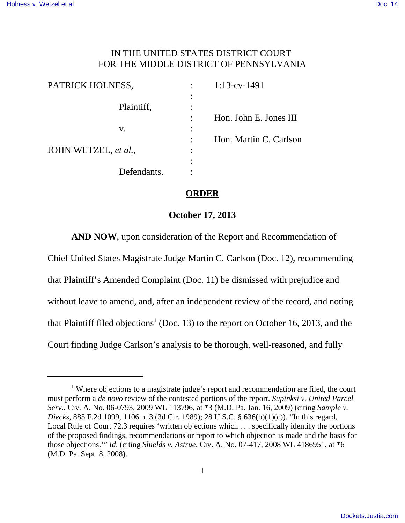## IN THE UNITED STATES DISTRICT COURT FOR THE MIDDLE DISTRICT OF PENNSYLVANIA

| PATRICK HOLNESS,     |                        | $1:13$ -cv-1491        |
|----------------------|------------------------|------------------------|
| Plaintiff,           | $\bullet$<br>$\bullet$ |                        |
|                      |                        | Hon. John E. Jones III |
| V.                   | $\bullet$              |                        |
|                      |                        | Hon. Martin C. Carlson |
| JOHN WETZEL, et al., | $\bullet$<br>$\bullet$ |                        |
|                      |                        |                        |
| Defendants.          |                        |                        |

## **ORDER**

## **October 17, 2013**

**AND NOW**, upon consideration of the Report and Recommendation of

Chief United States Magistrate Judge Martin C. Carlson (Doc. 12), recommending that Plaintiff's Amended Complaint (Doc. 11) be dismissed with prejudice and without leave to amend, and, after an independent review of the record, and noting that Plaintiff filed objections<sup>1</sup> (Doc. 13) to the report on October 16, 2013, and the Court finding Judge Carlson's analysis to be thorough, well-reasoned, and fully

<sup>&</sup>lt;sup>1</sup> Where objections to a magistrate judge's report and recommendation are filed, the court must perform a *de novo* review of the contested portions of the report. *Supinksi v. United Parcel Serv.*, Civ. A. No. 06-0793, 2009 WL 113796, at \*3 (M.D. Pa. Jan. 16, 2009) (citing *Sample v. Diecks*, 885 F.2d 1099, 1106 n. 3 (3d Cir. 1989); 28 U.S.C. § 636(b)(1)(c)). "In this regard, Local Rule of Court 72.3 requires 'written objections which . . . specifically identify the portions of the proposed findings, recommendations or report to which objection is made and the basis for those objections.'" *Id*. (citing *Shields v. Astrue*, Civ. A. No. 07-417, 2008 WL 4186951, at \*6 (M.D. Pa. Sept. 8, 2008).